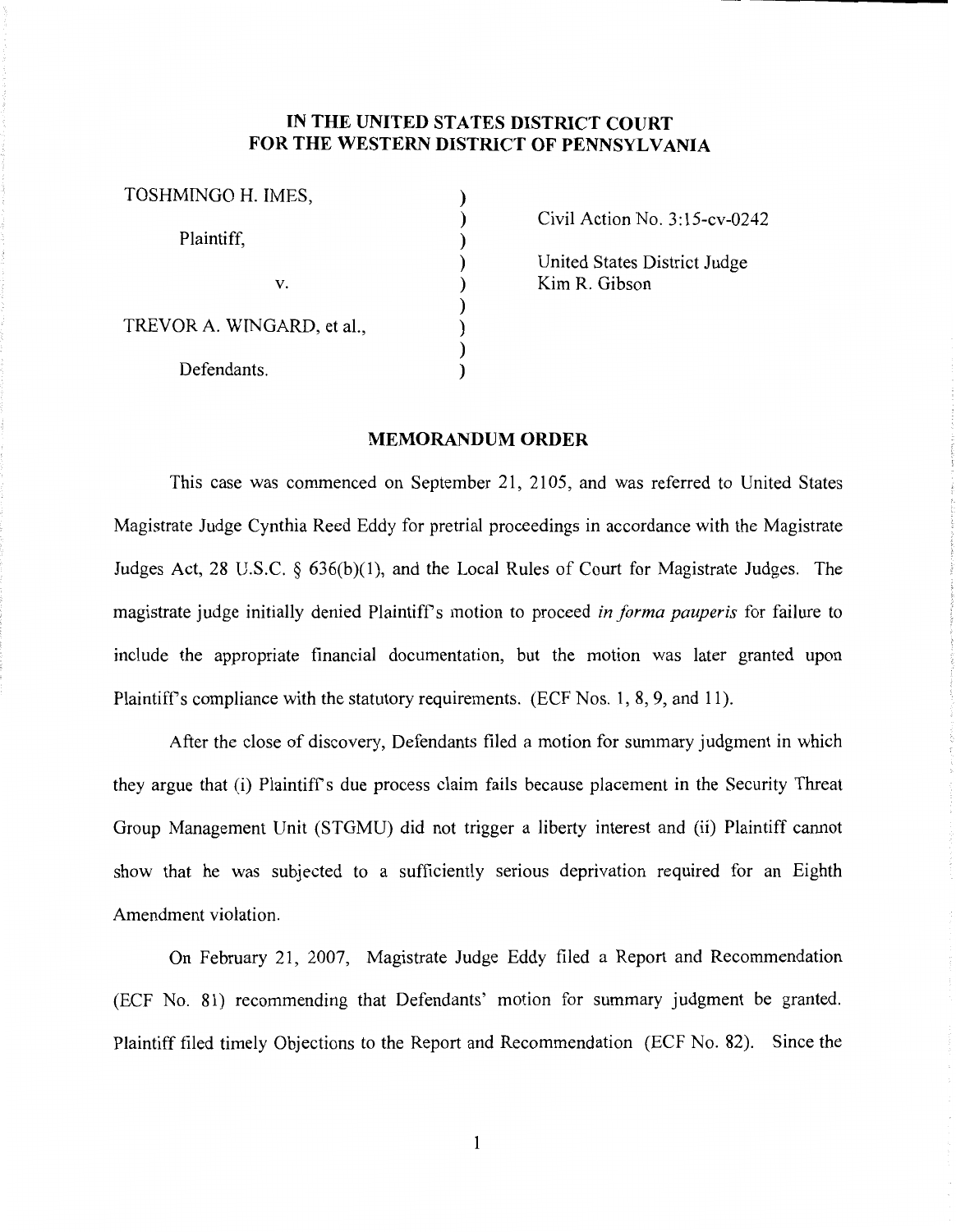## **IN THE UNITED STATES DISTRICT COURT FOR THE WESTERN DISTRICT OF PENNSYLVANIA**

| TOSHMINGO H. IMES,         |  |
|----------------------------|--|
| Plaintiff,                 |  |
| V.                         |  |
| TREVOR A. WINGARD, et al., |  |
| Defendants.                |  |

Civil Action No. 3: 15-cv-0242

United States District Judge Kim R. Gibson

## **MEMORANDUM ORDER**

This case was commenced on September 21, 2105, and was referred to United States Magistrate Judge Cynthia Reed Eddy for pretrial proceedings in accordance with the Magistrate Judges Act, 28 U.S.C. *§* 636(b)(l), and the Local Rules of Court for Magistrate Judges. The magistrate judge initially denied Plaintiffs motion to proceed *in forma pauperis* for failure to include the appropriate financial documentation, but the motion was later granted upon Plaintiff's compliance with the statutory requirements. (ECF Nos. 1, 8, 9, and 11).

After the close of discovery, Defendants filed a motion for summary judgment in which they argue that (i) Plaintiffs due process claim fails because placement in the Security Threat Group Management Unit (STGMU) did not trigger a liberty interest and (ii) Plaintiff cannot show that he was subjected to a sufficiently serious deprivation required for an Eighth Amendment violation.

On February 21, 2007, Magistrate Judge Eddy filed a Report and Recommendation (ECF No. 81) recommending that Defendants' motion for summary judgment be granted. Plaintiff filed timely Objections to the Report and Recommendation (ECF No. 82). Since the

 $\mathbf{1}$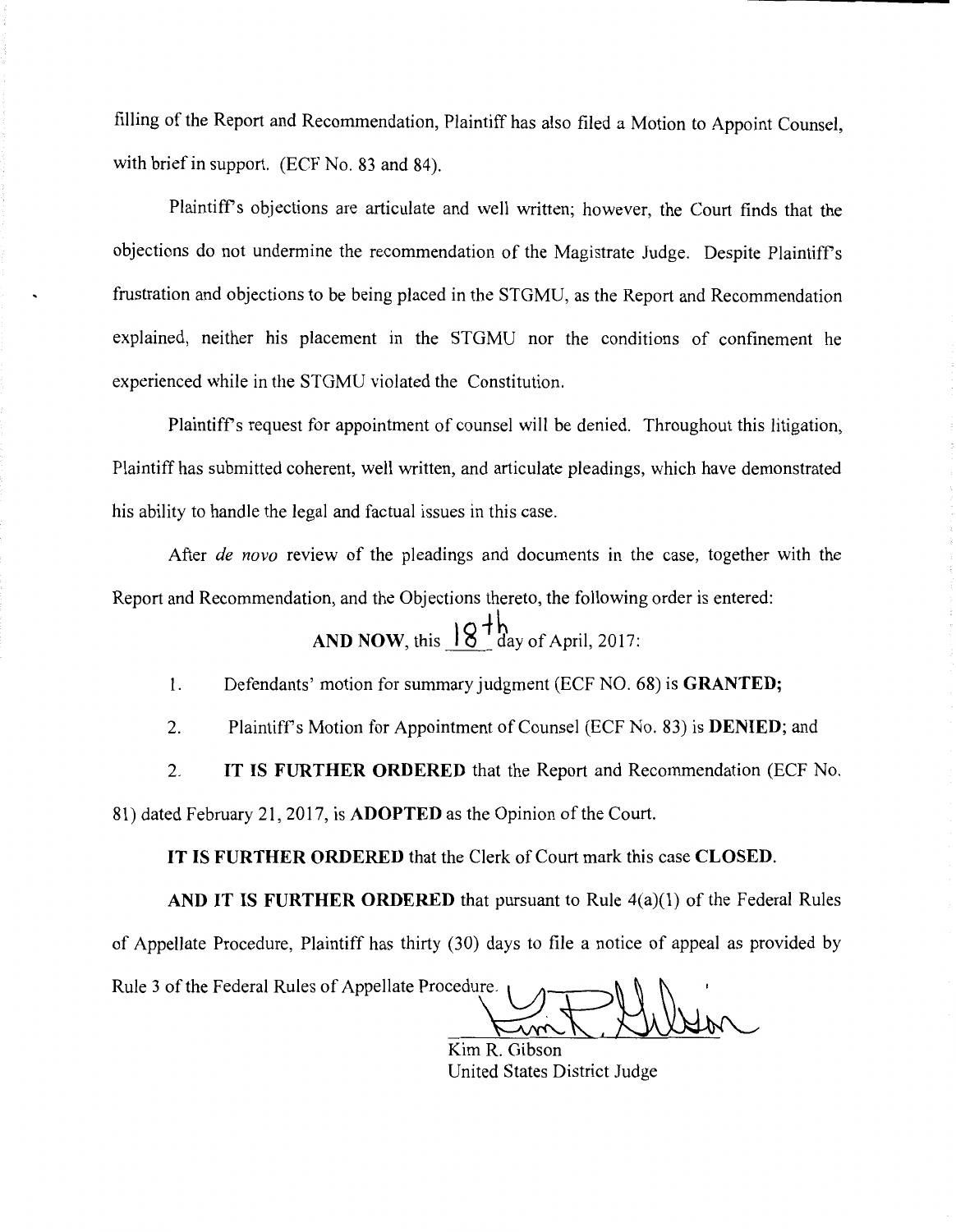filling of the Report and Recommendation, Plaintiff has also filed a Motion to Appoint Counsel, with brief in support. (ECF No. 83 and 84).

Plaintiff's objections are articulate and well written; however, the Court finds that the objections do not undermine the recommendation of the Magistrate Judge. Despite Plaintiffs frustration and objections to be being placed in the STGMU, as the Report and Recommendation explained, neither his placement in the STGMU nor the conditions of confinement he experienced while in the STGMU violated the Constitution.

Plaintiffs request for appointment of counsel will be denied. Throughout this litigation, Plaintiff has submitted coherent, well written, and articulate pleadings, which have demonstrated his ability to handle the legal and factual issues in this case.

After *de nova* review of the pleadings and documents in the case, together with the Report and Recommendation, and the Objections thereto, the following order is entered:

**AND NOW, this**  $18^{+}$  $\frac{1}{2}$  day of April, 2017:

1. Defendants' motion for summary judgment (ECF NO. 68) is **GRANTED;** 

2. Plaintiffs Motion for Appointment of Counsel (ECF No. 83) is **DENIED;** and

2. **IT IS FURTHER ORDERED** that the Report and Recommendation (ECF No.

81) dated February 21, 2017, is **ADOPTED** as the Opinion of the Court.

**IT IS FURTHER ORDERED** that the Clerk of Court mark this case **CLOSED.** 

AND IT IS FURTHER ORDERED that pursuant to Rule 4(a)(1) of the Federal Rules of Appellate Procedure, Plaintiff has thirty (30) days to file a notice of appeal as provided by of Appellate Procedure, Plaintiff has thirty (30) days to file a notice of appeal as provided  $\mathbb{R}$ . Rule 3 of the Federal Rules of Appellate Procedure.

e. Com R. Gibson

Kim R. United States District Judge